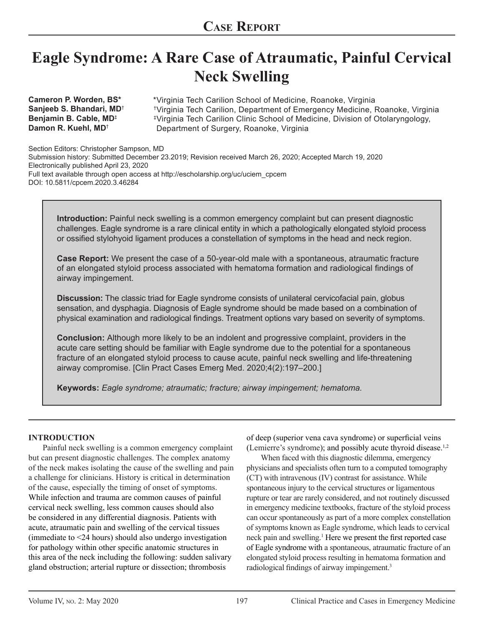# **Eagle Syndrome: A Rare Case of Atraumatic, Painful Cervical Neck Swelling**

**Cameron P. Worden, BS\* Sanjeeb S. Bhandari, MD**† **Benjamin B. Cable, MD**‡ **Damon R. Kuehl, MD**†

Virginia Tech Carilion School of Medicine, Roanoke, Virginia \* Virginia Tech Carilion, Department of Emergency Medicine, Roanoke, Virginia † Virginia Tech Carilion Clinic School of Medicine, Division of Otolaryngology, ‡ Department of Surgery, Roanoke, Virginia

Section Editors: Christopher Sampson, MD Submission history: Submitted December 23.2019; Revision received March 26, 2020; Accepted March 19, 2020 Electronically published April 23, 2020 Full text available through open access at http://escholarship.org/uc/uciem\_cpcem DOI: 10.5811/cpcem.2020.3.46284

**Introduction:** Painful neck swelling is a common emergency complaint but can present diagnostic challenges. Eagle syndrome is a rare clinical entity in which a pathologically elongated styloid process or ossified stylohyoid ligament produces a constellation of symptoms in the head and neck region.

**Case Report:** We present the case of a 50-year-old male with a spontaneous, atraumatic fracture of an elongated styloid process associated with hematoma formation and radiological findings of airway impingement.

**Discussion:** The classic triad for Eagle syndrome consists of unilateral cervicofacial pain, globus sensation, and dysphagia. Diagnosis of Eagle syndrome should be made based on a combination of physical examination and radiological findings. Treatment options vary based on severity of symptoms.

**Conclusion:** Although more likely to be an indolent and progressive complaint, providers in the acute care setting should be familiar with Eagle syndrome due to the potential for a spontaneous fracture of an elongated styloid process to cause acute, painful neck swelling and life-threatening airway compromise. [Clin Pract Cases Emerg Med. 2020;4(2):197–200.]

**Keywords:** *Eagle syndrome; atraumatic; fracture; airway impingement; hematoma.*

#### **INTRODUCTION**

Painful neck swelling is a common emergency complaint but can present diagnostic challenges. The complex anatomy of the neck makes isolating the cause of the swelling and pain a challenge for clinicians. History is critical in determination of the cause, especially the timing of onset of symptoms. While infection and trauma are common causes of painful cervical neck swelling, less common causes should also be considered in any differential diagnosis. Patients with acute, atraumatic pain and swelling of the cervical tissues (immediate to <24 hours) should also undergo investigation for pathology within other specific anatomic structures in this area of the neck including the following: sudden salivary gland obstruction; arterial rupture or dissection; thrombosis

of deep (superior vena cava syndrome) or superficial veins (Lemierre's syndrome); and possibly acute thyroid disease.1,2

When faced with this diagnostic dilemma, emergency physicians and specialists often turn to a computed tomography (CT) with intravenous (IV) contrast for assistance. While spontaneous injury to the cervical structures or ligamentous rupture or tear are rarely considered, and not routinely discussed in emergency medicine textbooks, fracture of the styloid process can occur spontaneously as part of a more complex constellation of symptoms known as Eagle syndrome, which leads to cervical neck pain and swelling.<sup>1</sup> Here we present the first reported case of Eagle syndrome with a spontaneous, atraumatic fracture of an elongated styloid process resulting in hematoma formation and radiological findings of airway impingement.<sup>3</sup>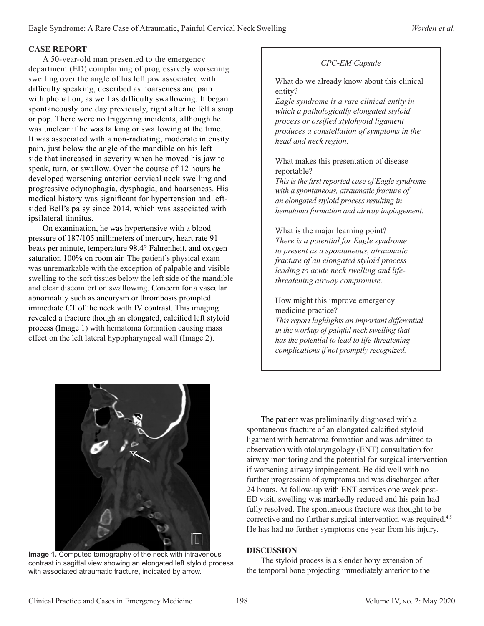## **CASE REPORT**

A 50-year-old man presented to the emergency department (ED) complaining of progressively worsening swelling over the angle of his left jaw associated with difficulty speaking, described as hoarseness and pain with phonation, as well as difficulty swallowing. It began spontaneously one day previously, right after he felt a snap or pop. There were no triggering incidents, although he was unclear if he was talking or swallowing at the time. It was associated with a non-radiating, moderate intensity pain, just below the angle of the mandible on his left side that increased in severity when he moved his jaw to speak, turn, or swallow. Over the course of 12 hours he developed worsening anterior cervical neck swelling and progressive odynophagia, dysphagia, and hoarseness. His medical history was significant for hypertension and leftsided Bell's palsy since 2014, which was associated with ipsilateral tinnitus.

On examination, he was hypertensive with a blood pressure of 187/105 millimeters of mercury, heart rate 91 beats per minute, temperature 98.4° Fahrenheit, and oxygen saturation 100% on room air. The patient's physical exam was unremarkable with the exception of palpable and visible swelling to the soft tissues below the left side of the mandible and clear discomfort on swallowing. Concern for a vascular abnormality such as aneurysm or thrombosis prompted immediate CT of the neck with IV contrast. This imaging revealed a fracture though an elongated, calcified left styloid process (Image 1) with hematoma formation causing mass effect on the left lateral hypopharyngeal wall (Image 2).

# *CPC-EM Capsule*

What do we already know about this clinical entity?

*Eagle syndrome is a rare clinical entity in which a pathologically elongated styloid process or ossified stylohyoid ligament produces a constellation of symptoms in the head and neck region.* 

# What makes this presentation of disease reportable?

*This is the first reported case of Eagle syndrome with a spontaneous, atraumatic fracture of an elongated styloid process resulting in hematoma formation and airway impingement.* 

What is the major learning point? *There is a potential for Eagle syndrome to present as a spontaneous, atraumatic fracture of an elongated styloid process leading to acute neck swelling and lifethreatening airway compromise.* 

How might this improve emergency medicine practice?

*This report highlights an important differential in the workup of painful neck swelling that has the potential to lead to life-threatening complications if not promptly recognized.*



**Image 1.** Computed tomography of the neck with intravenous contrast in sagittal view showing an elongated left styloid process with associated atraumatic fracture, indicated by arrow.

The patient was preliminarily diagnosed with a spontaneous fracture of an elongated calcified styloid ligament with hematoma formation and was admitted to observation with otolaryngology (ENT) consultation for airway monitoring and the potential for surgical intervention if worsening airway impingement. He did well with no further progression of symptoms and was discharged after 24 hours. At follow-up with ENT services one week post-ED visit, swelling was markedly reduced and his pain had fully resolved. The spontaneous fracture was thought to be corrective and no further surgical intervention was required.<sup>4,5</sup> He has had no further symptoms one year from his injury.

## **DISCUSSION**

The styloid process is a slender bony extension of the temporal bone projecting immediately anterior to the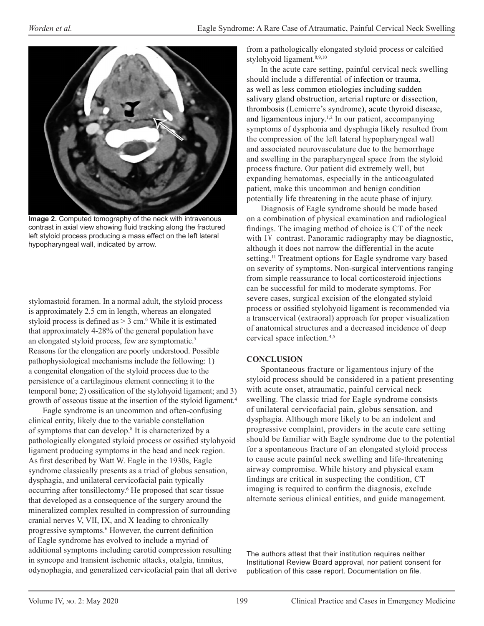

**Image 2.** Computed tomography of the neck with intravenous contrast in axial view showing fluid tracking along the fractured left styloid process producing a mass effect on the left lateral hypopharyngeal wall, indicated by arrow.

stylomastoid foramen. In a normal adult, the styloid process is approximately 2.5 cm in length, whereas an elongated styloid process is defined as  $>$  3 cm.<sup>6</sup> While it is estimated that approximately 4-28% of the general population have an elongated styloid process, few are symptomatic.7 Reasons for the elongation are poorly understood. Possible pathophysiological mechanisms include the following: 1) a congenital elongation of the styloid process due to the persistence of a cartilaginous element connecting it to the temporal bone; 2) ossification of the stylohyoid ligament; and 3) growth of osseous tissue at the insertion of the styloid ligament.4

Eagle syndrome is an uncommon and often-confusing clinical entity, likely due to the variable constellation of symptoms that can develop. 8 It is characterized by a pathologically elongated styloid process or ossified stylohyoid ligament producing symptoms in the head and neck region. As first described by Watt W. Eagle in the 1930s, Eagle syndrome classically presents as a triad of globus sensation, dysphagia, and unilateral cervicofacial pain typically occurring after tonsillectomy.<sup>6</sup> He proposed that scar tissue that developed as a consequence of the surgery around the mineralized complex resulted in compression of surrounding cranial nerves V, VII, IX, and X leading to chronically progressive symptoms.<sup>6</sup> However, the current definition of Eagle syndrome has evolved to include a myriad of additional symptoms including carotid compression resulting in syncope and transient ischemic attacks, otalgia, tinnitus, odynophagia, and generalized cervicofacial pain that all derive from a pathologically elongated styloid process or calcified stylohyoid ligament.<sup>8,9,10</sup>

In the acute care setting, painful cervical neck swelling should include a differential of infection or trauma, as well as less common etiologies including sudden salivary gland obstruction, arterial rupture or dissection, thrombosis (Lemierre's syndrome), acute thyroid disease, and ligamentous injury.<sup>1,2</sup> In our patient, accompanying symptoms of dysphonia and dysphagia likely resulted from the compression of the left lateral hypopharyngeal wall and associated neurovasculature due to the hemorrhage and swelling in the parapharyngeal space from the styloid process fracture. Our patient did extremely well, but expanding hematomas, especially in the anticoagulated patient, make this uncommon and benign condition potentially life threatening in the acute phase of injury.

Diagnosis of Eagle syndrome should be made based on a combination of physical examination and radiological findings. The imaging method of choice is CT of the neck with IV contrast. Panoramic radiography may be diagnostic, although it does not narrow the differential in the acute setting.<sup>11</sup> Treatment options for Eagle syndrome vary based on severity of symptoms. Non-surgical interventions ranging from simple reassurance to local corticosteroid injections can be successful for mild to moderate symptoms. For severe cases, surgical excision of the elongated styloid process or ossified stylohyoid ligament is recommended via a transcervical (extraoral) approach for proper visualization of anatomical structures and a decreased incidence of deep cervical space infection.4,5

## **CONCLUSION**

Spontaneous fracture or ligamentous injury of the styloid process should be considered in a patient presenting with acute onset, atraumatic, painful cervical neck swelling. The classic triad for Eagle syndrome consists of unilateral cervicofacial pain, globus sensation, and dysphagia. Although more likely to be an indolent and progressive complaint, providers in the acute care setting should be familiar with Eagle syndrome due to the potential for a spontaneous fracture of an elongated styloid process to cause acute painful neck swelling and life-threatening airway compromise. While history and physical exam findings are critical in suspecting the condition, CT imaging is required to confirm the diagnosis, exclude alternate serious clinical entities, and guide management.

The authors attest that their institution requires neither Institutional Review Board approval, nor patient consent for publication of this case report. Documentation on file.